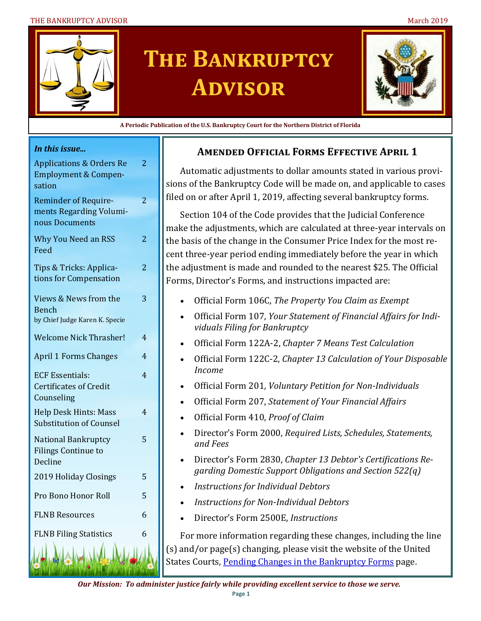#### THE BANKRUPTCY ADVISOR NAMEL AND STRUCK AND THE BANKRUPTCY ADVISOR



# **The Bankruptcy Advisor**



**A Periodic Publication of the U.S. Bankruptcy Court for the Northern District of Florida**

#### *In this issue...*

| <b>Applications &amp; Orders Re</b><br><b>Employment &amp; Compen-</b><br>sation | 2              |
|----------------------------------------------------------------------------------|----------------|
| <b>Reminder of Require-</b><br>ments Regarding Volumi-<br>nous Documents         | $\overline{c}$ |
| <b>Why You Need an RSS</b><br>Feed                                               | 2              |
| Tips & Tricks: Applica-<br>tions for Compensation                                | $\overline{2}$ |
| Views & News from the<br><b>Bench</b><br>by Chief Judge Karen K. Specie          | 3              |
| <b>Welcome Nick Thrasher!</b>                                                    | 4              |
| <b>April 1 Forms Changes</b>                                                     | 4              |
| <b>ECF Essentials:</b><br><b>Certificates of Credit</b><br>Counseling            | 4              |
| <b>Help Desk Hints: Mass</b><br><b>Substitution of Counsel</b>                   | 4              |
| <b>National Bankruptcy</b><br><b>Filings Continue to</b><br>Decline              | 5              |
| 2019 Holiday Closings                                                            | 5              |
| Pro Bono Honor Roll                                                              | 5              |
| <b>FLNB Resources</b>                                                            | 6              |
| <b>FLNB Filing Statistics</b>                                                    | 6              |
|                                                                                  |                |

#### **Amended Official Forms Effective April 1**

Automatic adjustments to dollar amounts stated in various provisions of the Bankruptcy Code will be made on, and applicable to cases filed on or after April 1, 2019, affecting several bankruptcy forms.

Section 104 of the Code provides that the Judicial Conference make the adjustments, which are calculated at three-year intervals on the basis of the change in the Consumer Price Index for the most recent three-year period ending immediately before the year in which the adjustment is made and rounded to the nearest \$25. The Official Forms, Director's Forms, and instructions impacted are:

- Official Form 106C, *The Property You Claim as Exempt*
- Official Form 107, *Your Statement of Financial Affairs for Individuals Filing for Bankruptcy*
- Official Form 122A-2, *Chapter 7 Means Test Calculation*
- Official Form 122C-2, *Chapter 13 Calculation of Your Disposable Income*
- Official Form 201, *Voluntary Petition for Non-Individuals*
- Official Form 207, *Statement of Your Financial Affairs*
- Official Form 410, *Proof of Claim*
- Director's Form 2000, *Required Lists, Schedules, Statements, and Fees*
- Director's Form 2830, *Chapter 13 Debtor's Certifications Regarding Domestic Support Obligations and Section 522(q)*
- *Instructions for Individual Debtors*
- *Instructions for Non-Individual Debtors*
- Director's Form 2500E, *Instructions*

For more information regarding these changes, including the line (s) and/or page(s) changing, please visit the website of the United States Courts, [Pending Changes in the Bankruptcy Forms](https://www.uscourts.gov/rules-policies/pending-rules-and-forms-amendments/pending-changes-bankruptcy-forms) page.

*Our Mission: To administer justice fairly while providing excellent service to those we serve.*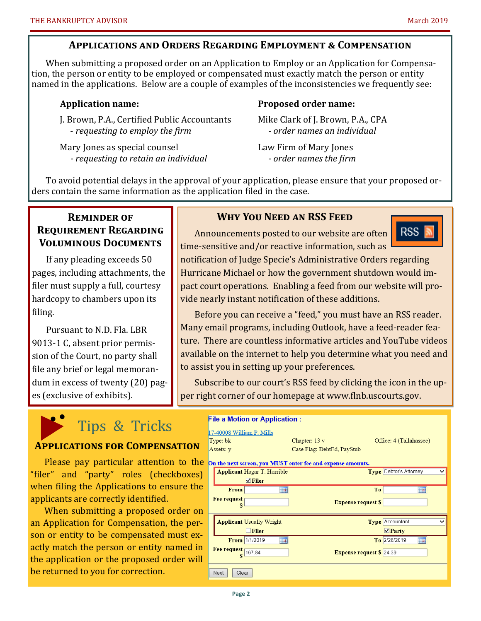#### **Applications and Orders Regarding Employment & Compensation**

When submitting a proposed order on an Application to Employ or an Application for Compensation, the person or entity to be employed or compensated must exactly match the person or entity named in the applications. Below are a couple of examples of the inconsistencies we frequently see:

J. Brown, P.A., Certified Public Accountants Mike Clark of J. Brown, P.A., CPA - *requesting to employ the firm - order names an individual* 

Mary Jones as special counsel Law Firm of Mary Jones *- requesting to retain an individual - order names the firm*

#### **Application name: Proposed order name:**

To avoid potential delays in the approval of your application, please ensure that your proposed orders contain the same information as the application filed in the case.

#### **Reminder of Requirement Regarding Voluminous Documents**

If any pleading exceeds 50 pages, including attachments, the filer must supply a full, courtesy hardcopy to chambers upon its filing.

Pursuant to N.D. Fla. LBR 9013-1 C, absent prior permission of the Court, no party shall file any brief or legal memorandum in excess of twenty (20) pages (exclusive of exhibits).

#### **Why You Need an RSS Feed**

Announcements posted to our website are often time-sensitive and/or reactive information, such as



notification of Judge Specie's Administrative Orders regarding Hurricane Michael or how the government shutdown would impact court operations. Enabling a feed from our website will provide nearly instant notification of these additions.

Before you can receive a "feed," you must have an RSS reader. Many email programs, including Outlook, have a feed-reader feature. There are countless informative articles and YouTube videos available on the internet to help you determine what you need and to assist you in setting up your preferences.

Subscribe to our court's RSS feed by clicking the icon in the upper right corner of our homepage at www.flnb.uscourts.gov.

# Tips & Tricks

#### **Applications for Compensation**

Please pay particular attention to the "filer" and "party" roles (checkboxes) when filing the Applications to ensure the applicants are correctly identified.

When submitting a proposed order on an Application for Compensation, the person or entity to be compensated must exactly match the person or entity named in the application or the proposed order will be returned to you for correction.

| <b>File a Motion or Application:</b>                        |                                 |                                        |  |
|-------------------------------------------------------------|---------------------------------|----------------------------------------|--|
| 17-40008 William P. Mills                                   |                                 |                                        |  |
| Type: bk                                                    | Chapter: 13 v                   | Office: 4 (Tallahassee)                |  |
| Assets: y                                                   | Case Flag: DebtEd, PayStub      |                                        |  |
| On the next screen, you MUST enter fee and expense amounts. |                                 |                                        |  |
| <b>Applicant Hagar T. Horrible</b>                          |                                 | Type Debtor's Attorney<br>$\checkmark$ |  |
| $\nabla$ Filer                                              |                                 |                                        |  |
| <b>From</b><br><b>HH</b>                                    | To                              | <b>HITE</b>                            |  |
| <b>Fee request</b>                                          | <b>Expense request S</b>        |                                        |  |
| S                                                           |                                 |                                        |  |
| <b>Applicant Usually Wright</b>                             |                                 | Type Accountant                        |  |
| Filer                                                       |                                 | $\nabla$ Party                         |  |
| From 1/1/2019                                               |                                 | To 2/28/2019<br>ШB                     |  |
| <b>Fee request</b><br>167.84                                | <b>Expense request \$ 24.39</b> |                                        |  |
|                                                             |                                 |                                        |  |
| Next<br>Clear                                               |                                 |                                        |  |
|                                                             |                                 |                                        |  |
|                                                             |                                 |                                        |  |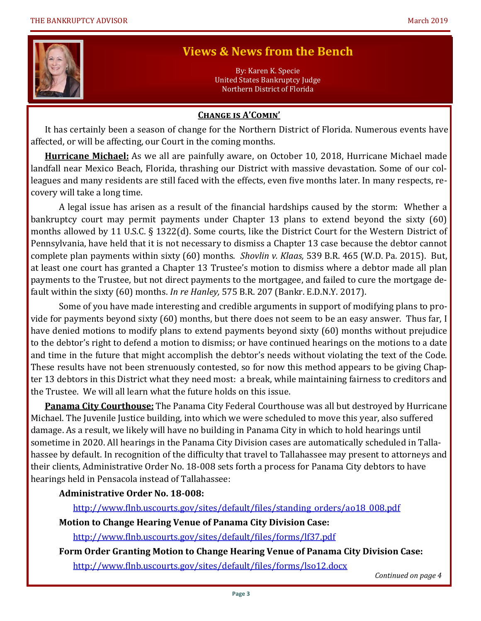

## **Views & News from the Bench**

By: Karen K. Specie United States Bankruptcy Judge Northern District of Florida

#### **Change is A'Comin'**

It has certainly been a season of change for the Northern District of Florida. Numerous events have affected, or will be affecting, our Court in the coming months.

**Hurricane Michael:** As we all are painfully aware, on October 10, 2018, Hurricane Michael made landfall near Mexico Beach, Florida, thrashing our District with massive devastation. Some of our colleagues and many residents are still faced with the effects, even five months later. In many respects, recovery will take a long time.

A legal issue has arisen as a result of the financial hardships caused by the storm: Whether a bankruptcy court may permit payments under Chapter 13 plans to extend beyond the sixty (60) months allowed by 11 U.S.C. § 1322(d). Some courts, like the District Court for the Western District of Pennsylvania, have held that it is not necessary to dismiss a Chapter 13 case because the debtor cannot complete plan payments within sixty (60) months. *Shovlin v. Klaas,* 539 B.R. 465 (W.D. Pa. 2015). But, at least one court has granted a Chapter 13 Trustee's motion to dismiss where a debtor made all plan payments to the Trustee, but not direct payments to the mortgagee, and failed to cure the mortgage default within the sixty (60) months. *In re Hanley,* 575 B.R. 207 (Bankr. E.D.N.Y. 2017).

Some of you have made interesting and credible arguments in support of modifying plans to provide for payments beyond sixty (60) months, but there does not seem to be an easy answer. Thus far, I have denied motions to modify plans to extend payments beyond sixty (60) months without prejudice to the debtor's right to defend a motion to dismiss; or have continued hearings on the motions to a date and time in the future that might accomplish the debtor's needs without violating the text of the Code. These results have not been strenuously contested, so for now this method appears to be giving Chapter 13 debtors in this District what they need most: a break, while maintaining fairness to creditors and the Trustee. We will all learn what the future holds on this issue.

**Panama City Courthouse:** The Panama City Federal Courthouse was all but destroyed by Hurricane Michael. The Juvenile Justice building, into which we were scheduled to move this year, also suffered damage. As a result, we likely will have no building in Panama City in which to hold hearings until sometime in 2020. All hearings in the Panama City Division cases are automatically scheduled in Tallahassee by default. In recognition of the difficulty that travel to Tallahassee may present to attorneys and their clients, Administrative Order No. 18-008 sets forth a process for Panama City debtors to have hearings held in Pensacola instead of Tallahassee:

#### **Administrative Order No. 18-008:**

[http://www.flnb.uscourts.gov/sites/default/files/standing\\_orders/ao18\\_008.pdf](http://www.flnb.uscourts.gov/sites/default/files/standing_orders/ao18_008.pdf)

**Motion to Change Hearing Venue of Panama City Division Case:**

<http://www.flnb.uscourts.gov/sites/default/files/forms/lf37.pdf>

**Form Order Granting Motion to Change Hearing Venue of Panama City Division Case:** <http://www.flnb.uscourts.gov/sites/default/files/forms/lso12.docx>

*Continued on page 4*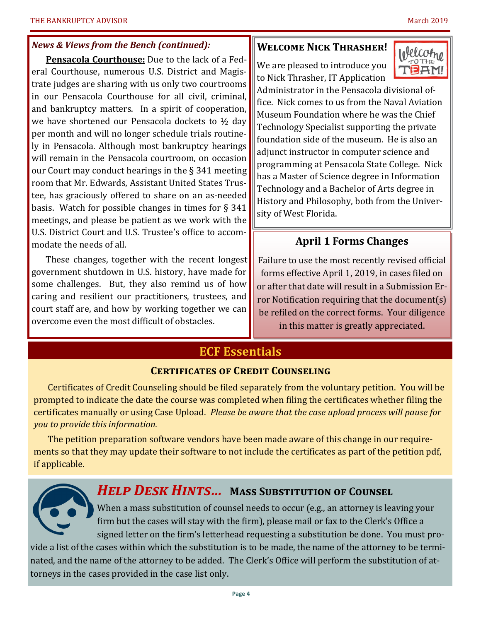#### *News & Views from the Bench (continued):*

**Pensacola Courthouse:** Due to the lack of a Federal Courthouse, numerous U.S. District and Magistrate judges are sharing with us only two courtrooms in our Pensacola Courthouse for all civil, criminal, and bankruptcy matters. In a spirit of cooperation, we have shortened our Pensacola dockets to ½ day per month and will no longer schedule trials routinely in Pensacola. Although most bankruptcy hearings will remain in the Pensacola courtroom, on occasion our Court may conduct hearings in the § 341 meeting room that Mr. Edwards, Assistant United States Trustee, has graciously offered to share on an as-needed basis. Watch for possible changes in times for § 341 meetings, and please be patient as we work with the U.S. District Court and U.S. Trustee's office to accommodate the needs of all.

These changes, together with the recent longest government shutdown in U.S. history, have made for some challenges. But, they also remind us of how caring and resilient our practitioners, trustees, and court staff are, and how by working together we can overcome even the most difficult of obstacles.

#### **Welcome Nick Thrasher!**

We are pleased to introduce you to Nick Thrasher, IT Application



Administrator in the Pensacola divisional office. Nick comes to us from the Naval Aviation Museum Foundation where he was the Chief Technology Specialist supporting the private foundation side of the museum. He is also an adjunct instructor in computer science and programming at Pensacola State College. Nick has a Master of Science degree in Information Technology and a Bachelor of Arts degree in History and Philosophy, both from the University of West Florida.

#### **April 1 Forms Changes**

Failure to use the most recently revised official forms effective April 1, 2019, in cases filed on or after that date will result in a Submission Error Notification requiring that the document(s) be refiled on the correct forms. Your diligence in this matter is greatly appreciated.

### **ECF Essentials**

#### **Certificates of Credit Counseling**

Certificates of Credit Counseling should be filed separately from the voluntary petition. You will be prompted to indicate the date the course was completed when filing the certificates whether filing the certificates manually or using Case Upload. *Please be aware that the case upload process will pause for you to provide this information.* 

The petition preparation software vendors have been made aware of this change in our requirements so that they may update their software to not include the certificates as part of the petition pdf, if applicable.



## *Help Desk Hints…* **Mass Substitution of Counsel**

When a mass substitution of counsel needs to occur (e.g., an attorney is leaving your firm but the cases will stay with the firm), please mail or fax to the Clerk's Office a signed letter on the firm's letterhead requesting a substitution be done. You must pro-

vide a list of the cases within which the substitution is to be made, the name of the attorney to be terminated, and the name of the attorney to be added. The Clerk's Office will perform the substitution of attorneys in the cases provided in the case list only.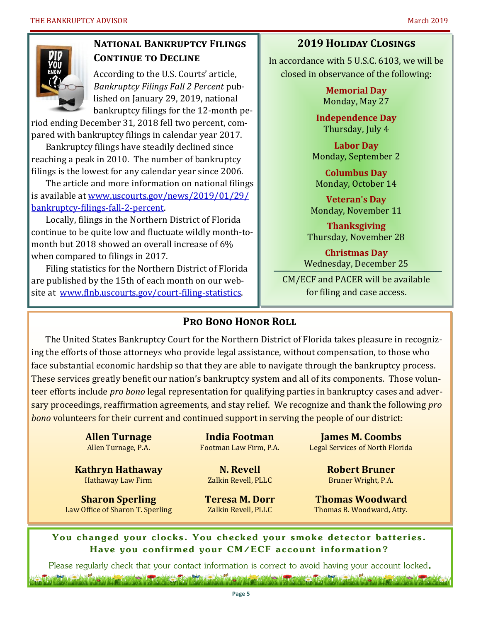

#### **National Bankruptcy Filings CONTINUE TO DECLINE**

According to the U.S. Courts' article, *Bankruptcy Filings Fall 2 Percent* published on January 29, 2019, national bankruptcy filings for the 12-month pe-

riod ending December 31, 2018 fell two percent, compared with bankruptcy filings in calendar year 2017.

Bankruptcy filings have steadily declined since reaching a peak in 2010. The number of bankruptcy filings is the lowest for any calendar year since 2006.

The article and more information on national filings is available at [www.uscourts.gov/news/2019/01/29/](http://www.uscourts.gov/news/2019/01/29/bankruptcy-filings-fall-2-percent) [bankruptcy](http://www.uscourts.gov/news/2019/01/29/bankruptcy-filings-fall-2-percent)-filings-fall-2-percent.

Locally, filings in the Northern District of Florida continue to be quite low and fluctuate wildly month-tomonth but 2018 showed an overall increase of 6% when compared to filings in 2017.

Filing statistics for the Northern District of Florida are published by the 15th of each month on our website at [www.flnb.uscourts.gov/court](http://www.flnb.uscourts.gov/court-filing-statistics)-filing-statistics.

#### **2019 Holiday Closings**

In accordance with 5 U.S.C. 6103, we will be closed in observance of the following:

> **Memorial Day** Monday, May 27

**Independence Day** Thursday, July 4

**Labor Day** Monday, September 2

**Columbus Day** Monday, October 14

**Veteran's Day** Monday, November 11

**Thanksgiving** Thursday, November 28

**Christmas Day** Wednesday, December 25

CM/ECF and PACER will be available for filing and case access.

#### **Pro Bono Honor Roll**

The United States Bankruptcy Court for the Northern District of Florida takes pleasure in recognizing the efforts of those attorneys who provide legal assistance, without compensation, to those who face substantial economic hardship so that they are able to navigate through the bankruptcy process. These services greatly benefit our nation's bankruptcy system and all of its components. Those volunteer efforts include *pro bono* legal representation for qualifying parties in bankruptcy cases and adversary proceedings, reaffirmation agreements, and stay relief. We recognize and thank the following *pro bono* volunteers for their current and continued support in serving the people of our district:

> **Allen Turnage** Allen Turnage, P.A.

**Kathryn Hathaway** Hathaway Law Firm

**Sharon Sperling** Law Office of Sharon T. Sperling

**India Footman** Footman Law Firm, P.A.

**N. Revell** Zalkin Revell, PLLC

**Teresa M. Dorr** Zalkin Revell, PLLC

**James M. Coombs** Legal Services of North Florida

> **Robert Bruner** Bruner Wright, P.A.

**Thomas Woodward** Thomas B. Woodward, Atty.

**You changed your clocks. You checked your smoke detector batteries. Have you confirmed your CM/ECF account information?**

Please regularly check that your contact information is correct to avoid having your account locked.<br>The contribution of the contact information is correct to avoid having your account locked.